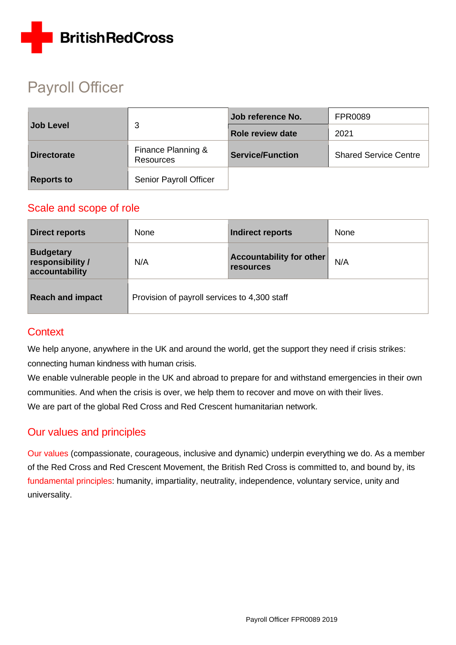

# Payroll Officer

| <b>Job Level</b>   | 3                                      | Job reference No.       | <b>FPR0089</b>               |
|--------------------|----------------------------------------|-------------------------|------------------------------|
|                    |                                        | Role review date        | 2021                         |
| <b>Directorate</b> | Finance Planning &<br><b>Resources</b> | <b>Service/Function</b> | <b>Shared Service Centre</b> |
| <b>Reports to</b>  | Senior Payroll Officer                 |                         |                              |

### Scale and scope of role

| <b>Direct reports</b>                                  | None                                         | Indirect reports                                    | None |
|--------------------------------------------------------|----------------------------------------------|-----------------------------------------------------|------|
| <b>Budgetary</b><br>responsibility /<br>accountability | N/A                                          | <b>Accountability for other</b><br><b>resources</b> | N/A  |
| <b>Reach and impact</b>                                | Provision of payroll services to 4,300 staff |                                                     |      |

### **Context**

We help anyone, anywhere in the UK and around the world, get the support they need if crisis strikes: connecting human kindness with human crisis.

We enable vulnerable people in the UK and abroad to prepare for and withstand emergencies in their own communities. And when the crisis is over, we help them to recover and move on with their lives. We are part of the global Red Cross and Red Crescent humanitarian network.

### Our values and principles

[Our values](http://www.redcross.org.uk/About-us/Who-we-are/Our-values) (compassionate, courageous, inclusive and dynamic) underpin everything we do. As a member of the Red Cross and Red Crescent Movement, the British Red Cross is committed to, and bound by, its [fundamental principles:](http://www.redcross.org.uk/principles) humanity, impartiality, neutrality, independence, voluntary service, unity and universality.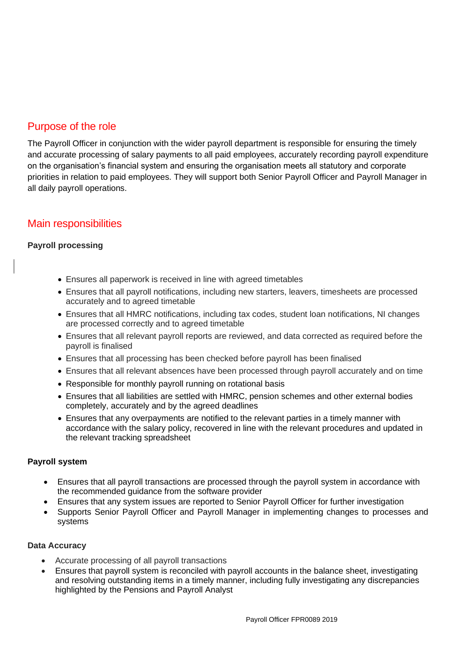### Purpose of the role

The Payroll Officer in conjunction with the wider payroll department is responsible for ensuring the timely and accurate processing of salary payments to all paid employees, accurately recording payroll expenditure on the organisation's financial system and ensuring the organisation meets all statutory and corporate priorities in relation to paid employees. They will support both Senior Payroll Officer and Payroll Manager in all daily payroll operations.

### Main responsibilities

#### **Payroll processing**

- Ensures all paperwork is received in line with agreed timetables
- Ensures that all payroll notifications, including new starters, leavers, timesheets are processed accurately and to agreed timetable
- Ensures that all HMRC notifications, including tax codes, student loan notifications, NI changes are processed correctly and to agreed timetable
- Ensures that all relevant payroll reports are reviewed, and data corrected as required before the payroll is finalised
- Ensures that all processing has been checked before payroll has been finalised
- Ensures that all relevant absences have been processed through payroll accurately and on time
- Responsible for monthly payroll running on rotational basis
- Ensures that all liabilities are settled with HMRC, pension schemes and other external bodies completely, accurately and by the agreed deadlines
- Ensures that any overpayments are notified to the relevant parties in a timely manner with accordance with the salary policy, recovered in line with the relevant procedures and updated in the relevant tracking spreadsheet

#### **Payroll system**

- Ensures that all payroll transactions are processed through the payroll system in accordance with the recommended guidance from the software provider
- Ensures that any system issues are reported to Senior Payroll Officer for further investigation
- Supports Senior Payroll Officer and Payroll Manager in implementing changes to processes and systems

#### **Data Accuracy**

- Accurate processing of all payroll transactions
- Ensures that payroll system is reconciled with payroll accounts in the balance sheet, investigating and resolving outstanding items in a timely manner, including fully investigating any discrepancies highlighted by the Pensions and Payroll Analyst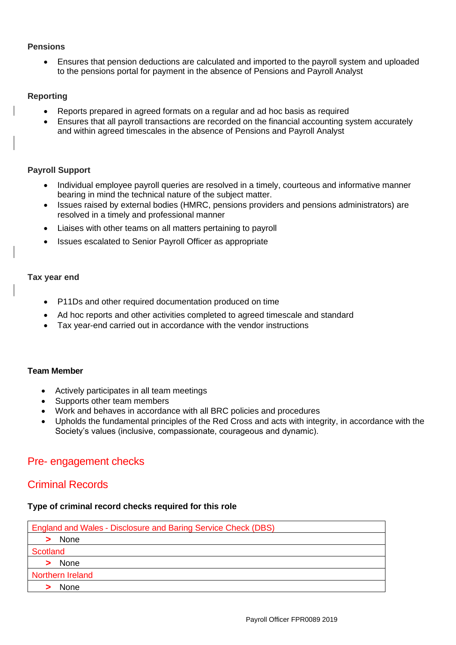#### **Pensions**

• Ensures that pension deductions are calculated and imported to the payroll system and uploaded to the pensions portal for payment in the absence of Pensions and Payroll Analyst

#### **Reporting**

- Reports prepared in agreed formats on a regular and ad hoc basis as required
- Ensures that all payroll transactions are recorded on the financial accounting system accurately and within agreed timescales in the absence of Pensions and Payroll Analyst

#### **Payroll Support**

- Individual employee payroll queries are resolved in a timely, courteous and informative manner bearing in mind the technical nature of the subject matter.
- Issues raised by external bodies (HMRC, pensions providers and pensions administrators) are resolved in a timely and professional manner
- Liaises with other teams on all matters pertaining to payroll
- Issues escalated to Senior Payroll Officer as appropriate

#### **Tax year end**

- P11Ds and other required documentation produced on time
- Ad hoc reports and other activities completed to agreed timescale and standard
- Tax year-end carried out in accordance with the vendor instructions

#### **Team Member**

- Actively participates in all team meetings
- Supports other team members
- Work and behaves in accordance with all BRC policies and procedures
- Upholds the fundamental principles of the Red Cross and acts with integrity, in accordance with the Society's values (inclusive, compassionate, courageous and dynamic).

### Pre- engagement checks

### Criminal Records

#### **Type of criminal record checks required for this role**

| England and Wales - Disclosure and Baring Service Check (DBS) |
|---------------------------------------------------------------|
| None                                                          |
| Scotland                                                      |
| None                                                          |
| Northern Ireland                                              |
| <b>None</b>                                                   |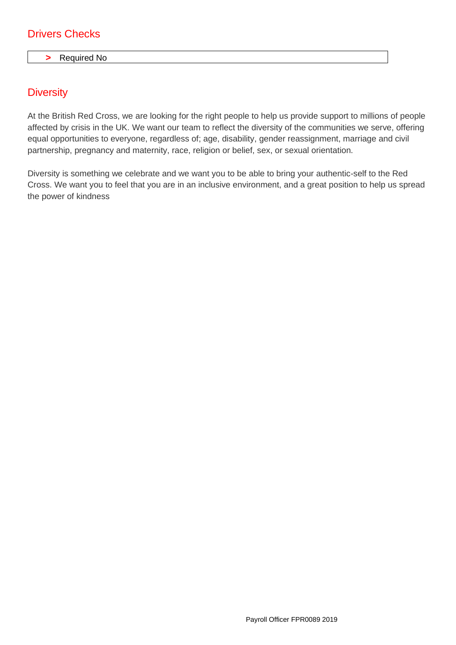### Drivers Checks

#### **>** Required No

### **Diversity**

At the British Red Cross, we are looking for the right people to help us provide support to millions of people affected by crisis in the UK. We want our team to reflect the diversity of the communities we serve, offering equal opportunities to everyone, regardless of; age, disability, gender reassignment, marriage and civil partnership, pregnancy and maternity, race, religion or belief, sex, or sexual orientation.

Diversity is something we celebrate and we want you to be able to bring your authentic-self to the Red Cross. We want you to feel that you are in an inclusive environment, and a great position to help us spread the power of kindness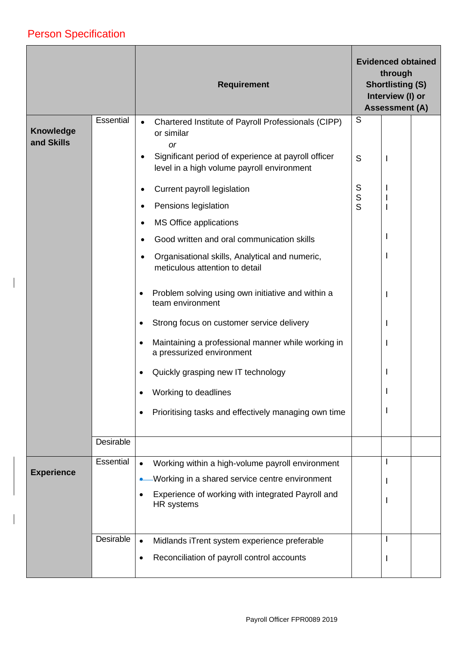## Person Specification

 $\overline{\phantom{a}}$ 

 $\overline{\phantom{a}}$ 

|                                |           | <b>Requirement</b>                                                                                             |        | <b>Evidenced obtained</b><br>through<br><b>Shortlisting (S)</b><br>Interview (I) or<br><b>Assessment (A)</b> |  |
|--------------------------------|-----------|----------------------------------------------------------------------------------------------------------------|--------|--------------------------------------------------------------------------------------------------------------|--|
| <b>Knowledge</b><br>and Skills | Essential | Chartered Institute of Payroll Professionals (CIPP)<br>$\bullet$<br>or similar<br><b>or</b>                    | S      |                                                                                                              |  |
|                                |           | Significant period of experience at payroll officer<br>$\bullet$<br>level in a high volume payroll environment | S      | ı                                                                                                            |  |
|                                |           | Current payroll legislation<br>$\bullet$                                                                       | S      |                                                                                                              |  |
|                                |           | Pensions legislation<br>$\bullet$                                                                              | s<br>s |                                                                                                              |  |
|                                |           | <b>MS Office applications</b><br>٠                                                                             |        |                                                                                                              |  |
|                                |           | Good written and oral communication skills                                                                     |        |                                                                                                              |  |
|                                |           | Organisational skills, Analytical and numeric,<br>$\bullet$<br>meticulous attention to detail                  |        |                                                                                                              |  |
|                                |           | Problem solving using own initiative and within a<br>$\bullet$<br>team environment                             |        |                                                                                                              |  |
|                                |           | Strong focus on customer service delivery                                                                      |        |                                                                                                              |  |
|                                |           | Maintaining a professional manner while working in<br>a pressurized environment                                |        |                                                                                                              |  |
|                                |           | Quickly grasping new IT technology<br>$\bullet$                                                                |        |                                                                                                              |  |
|                                |           | Working to deadlines                                                                                           |        |                                                                                                              |  |
|                                |           | Prioritising tasks and effectively managing own time<br>٠                                                      |        |                                                                                                              |  |
|                                | Desirable |                                                                                                                |        |                                                                                                              |  |
|                                | Essential | Working within a high-volume payroll environment<br>$\bullet$                                                  |        |                                                                                                              |  |
| <b>Experience</b>              |           | Working in a shared service centre environment                                                                 |        |                                                                                                              |  |
|                                |           | Experience of working with integrated Payroll and<br>HR systems                                                |        |                                                                                                              |  |
|                                | Desirable | Midlands iTrent system experience preferable<br>$\bullet$                                                      |        |                                                                                                              |  |
|                                |           | Reconciliation of payroll control accounts<br>٠                                                                |        |                                                                                                              |  |